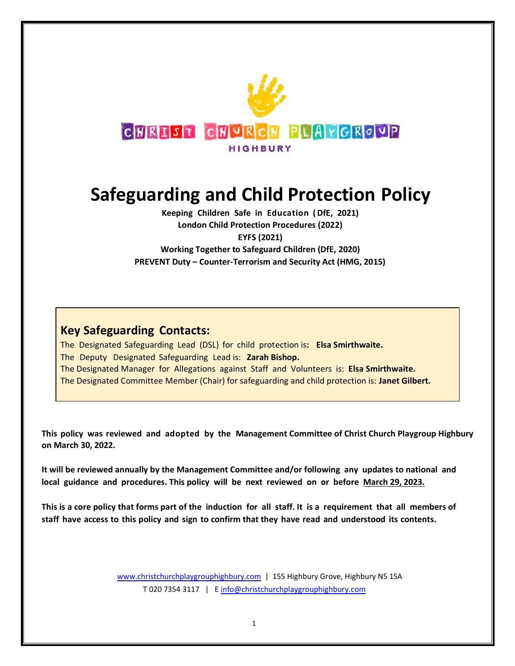

# **Safeguarding and Child Protection Policy**

**Keeping Children Safe in Education (DfE, 2021) London Child Protection Procedures (2022) EYFS (2021) Working Together to Safeguard Children (DfE, 2020) PREVENT Duty – Counter-Terrorism and Security Act (HMG, 2015)**

# **Key Safeguarding Contacts:**

The Designated Safeguarding Lead (DSL) for child protection is**: Elsa Smirthwaite.** The Deputy Designated Safeguarding Lead is: **Zarah Bishop.** The Designated Manager for Allegations against Staff and Volunteers is: **Elsa Smirthwaite.** The Designated Committee Member (Chair) for safeguarding and child protection is: **Janet Gilbert.**

**This policy was reviewed and adopted by the Management Committee of Christ Church Playgroup Highbury on March 30, 2022.**

**It will be reviewed annually by the Management Committee and/or following any updates to national and local guidance and procedures. This policy will be next reviewed on or before March 29, 2023.**

This is a core policy that forms part of the induction for all staff. It is a requirement that all members of **staff have access to this policy and sign to confirm that they have read and understood its contents.**

> [www.christchurchplaygrouphighbury.com](http://www.christchurchplaygrouphighbury.com/) | 155 Highbury Grove, Highbury N5 1SA T 020 7354 3117 | E [info@christchurchplaygrouphighbury.com](mailto:info@christchurchplaygrouphighbury.com)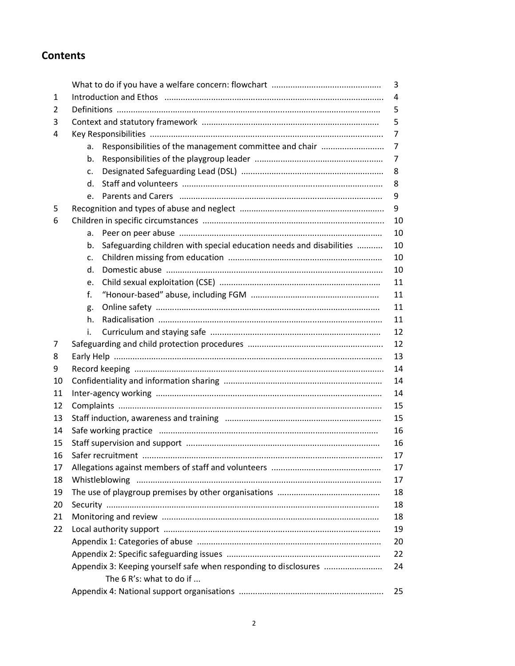# **Contents**

|    |                                                                           | 3  |
|----|---------------------------------------------------------------------------|----|
| 1  |                                                                           | 4  |
| 2  |                                                                           | 5  |
| 3  |                                                                           | 5  |
| 4  |                                                                           | 7  |
|    | Responsibilities of the management committee and chair<br>a.              | 7  |
|    | b.                                                                        | 7  |
|    | c.                                                                        | 8  |
|    | d.                                                                        | 8  |
|    | e.                                                                        | 9  |
| 5  |                                                                           | 9  |
| 6  |                                                                           | 10 |
|    | a.                                                                        | 10 |
|    | Safeguarding children with special education needs and disabilities<br>b. | 10 |
|    | c.                                                                        | 10 |
|    | d.                                                                        | 10 |
|    | e.                                                                        | 11 |
|    | f.                                                                        | 11 |
|    | g.                                                                        | 11 |
|    | h.                                                                        | 11 |
|    | i.                                                                        | 12 |
| 7  |                                                                           | 12 |
| 8  |                                                                           | 13 |
| 9  |                                                                           | 14 |
| 10 |                                                                           | 14 |
| 11 |                                                                           | 14 |
| 12 |                                                                           | 15 |
| 13 |                                                                           | 15 |
| 14 |                                                                           | 16 |
| 15 |                                                                           | 16 |
| 16 | Safer recruitment                                                         | 17 |
| 17 |                                                                           | 17 |
| 18 |                                                                           | 17 |
| 19 |                                                                           | 18 |
| 20 |                                                                           | 18 |
| 21 |                                                                           | 18 |
| 22 |                                                                           | 19 |
|    |                                                                           | 20 |
|    |                                                                           | 22 |
|    | Appendix 3: Keeping yourself safe when responding to disclosures          | 24 |
|    | The 6 R's: what to do if                                                  |    |
|    |                                                                           | 25 |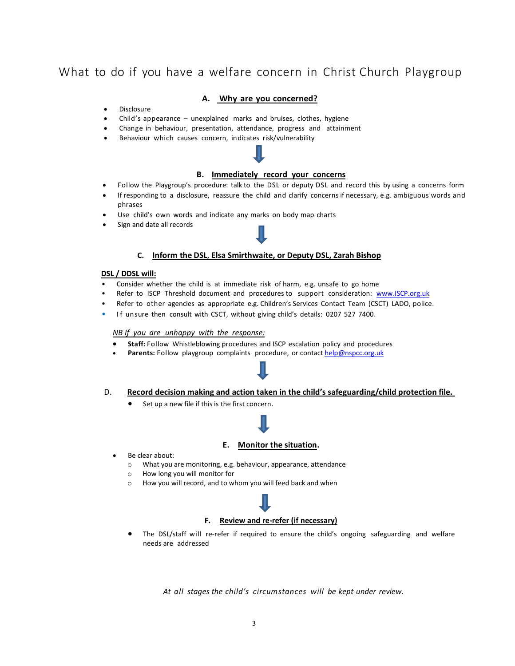# What to do if you have a welfare concern in Christ Church Playgroup

#### **A. Why are you concerned?**

- **Disclosure**
- Child's appearance unexplained marks and bruises, clothes, hygiene
- Change in behaviour, presentation, attendance, progress and attainment
- Behaviour which causes concern, indicates risk/vulnerability

#### **B. Immediately record your concerns**

- Follow the Playgroup's procedure: talk to the DSL or deputy DSL and record this by using a concerns form
- If responding to a disclosure, reassure the child and clarify concerns if necessary, e.g. ambiguous words and phrases
- Use child's own words and indicate any marks on body map charts
- Sign and date all records

#### **C. Inform the DSL**, **Elsa Smirthwaite, or Deputy DSL, Zarah Bishop**

#### **DSL / DDSL will:**

- Consider whether the child is at immediate risk of harm, e.g. unsafe to go home
- Refer to ISCP Threshold document and procedures to support consideration: [www.ISCP.org.uk](http://www.iscb.org.uk/)
- Refer to other agencies as appropriate e.g. Children's Services Contact Team (CSCT) LADO, police.
- If unsure then consult with CSCT, without giving child's details: 0207 527 7400.

### *NB If you are unhappy with the response:*

- **Staff:** Follow Whistleblowing procedures and ISCP escalation policy and procedures
- Parents: Follow playgroup complaints procedure, or contac[t help@nspcc.org.uk](mailto:help@nspcc.org.uk)



#### D. **Record decision making and action taken in the child's safeguarding/child protection file.**

Set up a new file if this is the first concern.

# í

#### **E. Monitor the situation.**

- Be clear about:
	- o What you are monitoring, e.g. behaviour, appearance, attendance
	- o How long you will monitor for
	- o How you will record, and to whom you will feed back and when



• The DSL/staff will re-refer if required to ensure the child's ongoing safeguarding and welfare needs are addressed

*At all stages the child's circumstances will be kept under review.*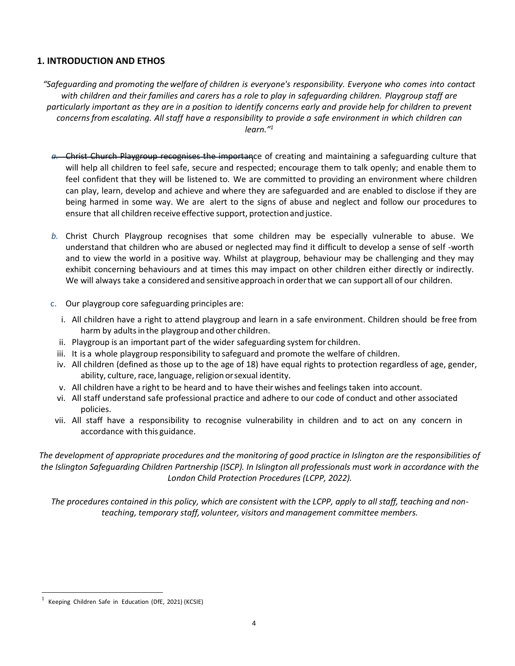# **1. INTRODUCTION AND ETHOS**

*"Safeguarding and promoting the welfare of children is everyone's responsibility. Everyone who comes into contact* with children and their families and carers has a role to play in safequarding children. Playgroup staff are particularly important as they are in a position to identify concerns early and provide help for children to prevent *concernsfrom escalating. All staff have a responsibility to provide a safe environment in which children can learn."<sup>1</sup>*

- *a.* Christ Church Playgroup recognises the importance of creating and maintaining a safeguarding culture that will help all children to feel safe, secure and respected; encourage them to talk openly; and enable them to feel confident that they will be listened to. We are committed to providing an environment where children can play, learn, develop and achieve and where they are safeguarded and are enabled to disclose if they are being harmed in some way. We are alert to the signs of abuse and neglect and follow our procedures to ensure that all children receive effective support, protection and justice.
- *b.* Christ Church Playgroup recognises that some children may be especially vulnerable to abuse. We understand that children who are abused or neglected may find it difficult to develop a sense of self -worth and to view the world in a positive way. Whilst at playgroup, behaviour may be challenging and they may exhibit concerning behaviours and at times this may impact on other children either directly or indirectly. We will always take a considered and sensitiveapproach in orderthat we can support all of our children.
- c. Our playgroup core safeguarding principles are:
	- i. All children have a right to attend playgroup and learn in a safe environment. Children should be free from harm by adults in the playgroup and other children.
	- ii. Playgroup is an important part of the wider safeguarding system for children.
	- iii. It is a whole playgroup responsibility to safeguard and promote the welfare of children.
	- iv. All children (defined as those up to the age of 18) have equal rights to protection regardless of age, gender, ability, culture, race, language, religion or sexual identity.
	- v. All children have a right to be heard and to have their wishes and feelings taken into account.
	- vi. All staff understand safe professional practice and adhere to our code of conduct and other associated policies.
- vii. All staff have a responsibility to recognise vulnerability in children and to act on any concern in accordance with this guidance.

*The development of appropriate procedures and the monitoring of good practice in Islington are the responsibilities of the Islington Safeguarding Children Partnership (ISCP). In Islington all professionals must work in accordance with the London Child Protection Procedures (LCPP, 2022).*

*The procedures contained in this policy, which are consistent with the LCPP, apply to all staff, teaching and nonteaching, temporary staff, volunteer, visitors and management committee members.*

<sup>1</sup> Keeping Children Safe in Education (DfE, 2021) (KCSIE)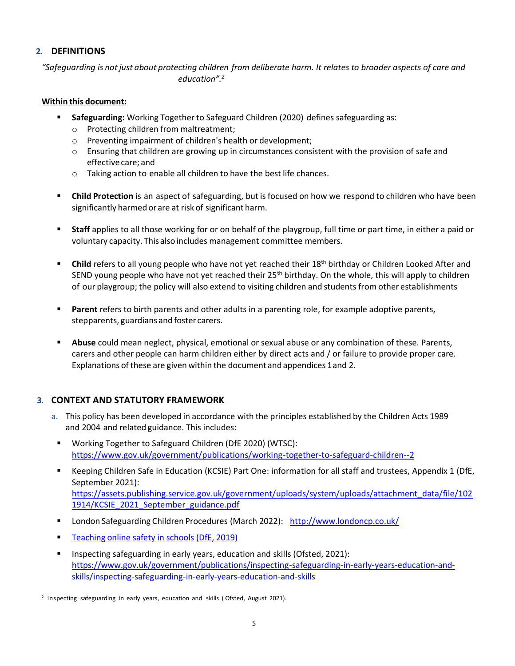# **2. DEFINITIONS**

*"Safeguarding is notjust about protecting children from deliberate harm. It relates to broader aspects of care and education".<sup>2</sup>*

# **Within this document:**

- **Safeguarding:** Working Together to Safeguard Children (2020) defines safeguarding as:
	- o Protecting children from maltreatment;
	- o Preventing impairment of children's health or development;
	- $\circ$  Ensuring that children are growing up in circumstances consistent with the provision of safe and effectivecare; and
	- o Taking action to enable all children to have the best life chances.
- **EXECT** Child Protection is an aspect of safeguarding, but is focused on how we respond to children who have been significantly harmed or are at risk of significant harm.
- Staff applies to all those working for or on behalf of the playgroup, full time or part time, in either a paid or voluntary capacity. This also includes management committee members.
- Child refers to all young people who have not yet reached their 18<sup>th</sup> birthday or Children Looked After and SEND young people who have not yet reached their  $25<sup>th</sup>$  birthday. On the whole, this will apply to children of our playgroup; the policy will also extend to visiting children and students from other establishments
- **Parent** refers to birth parents and other adults in a parenting role, for example adoptive parents, stepparents, guardians and foster carers.
- **EXTED Abuse** could mean neglect, physical, emotional or sexual abuse or any combination of these. Parents, carers and other people can harm children either by direct acts and / or failure to provide proper care. Explanations of these are given within the document and appendices 1and 2.

# **3. CONTEXT AND STATUTORY FRAMEWORK**

- a. This policy has been developed in accordance with the principles established by the Children Acts 1989 and 2004 and related guidance. This includes:
	- Working Together to Safeguard Children (DfE 2020) (WTSC): <https://www.gov.uk/government/publications/working-together-to-safeguard-children--2>
- Keeping Children Safe in Education (KCSIE) Part One: information for all staff and trustees, Appendix 1 (DfE, September 2021): [https://assets.publishing.service.gov.uk/government/uploads/system/uploads/attachment\\_data/file/102](https://assets.publishing.service.gov.uk/government/uploads/system/uploads/attachment_data/file/1021914/KCSIE_2021_September_guidance.pdf) [1914/KCSIE\\_2021\\_September\\_guidance.pdf](https://assets.publishing.service.gov.uk/government/uploads/system/uploads/attachment_data/file/1021914/KCSIE_2021_September_guidance.pdf)
- London Safeguarding Children Procedures (March 2022): <http://www.londoncp.co.uk/>
- **Example 2** Teaching [online safety](https://assets.publishing.service.gov.uk/government/uploads/system/uploads/attachment_data/file/811796/Teaching_online_safety_in_school.pdf) in schools (DfE, 2019)
- Inspecting safeguarding in early years, education and skills (Ofsted, 2021): [https://www.gov.uk/government/publications/inspecting-safeguarding-in-early-years-education-and](https://www.gov.uk/government/publications/inspecting-safeguarding-in-early-years-education-and-skills/inspecting-safeguarding-in-early-years-education-and-skills)[skills/inspecting-safeguarding-in-early-years-education-and-skills](https://www.gov.uk/government/publications/inspecting-safeguarding-in-early-years-education-and-skills/inspecting-safeguarding-in-early-years-education-and-skills)

<sup>2</sup> Inspecting safeguarding in early years, education and skills (Ofsted, August 2021).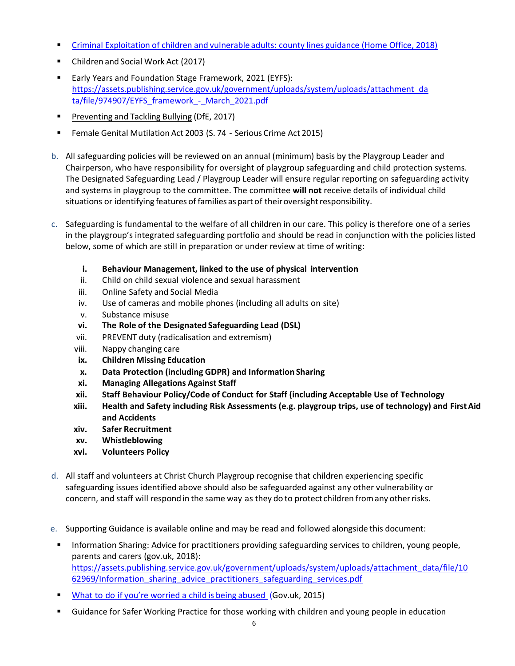- **Criminal [Exploitation](https://assets.publishing.service.gov.uk/government/uploads/system/uploads/attachment_data/file/741194/HOCountyLinesGuidanceSept2018.pdf) of children and vulnerable adults: county lines guidance (Home Office, 2018)**
- Children and Social Work Act (2017)
- Early Years and Foundation Stage Framework, 2021 (EYFS): [https://assets.publishing.service.gov.uk/government/uploads/system/uploads/attachment\\_da](https://assets.publishing.service.gov.uk/government/uploads/system/uploads/attachment_data/file/974907/EYFS_framework_-_March_2021.pdf) ta/file/974907/EYFS\_framework - March\_2021.pdf
- **[Preventing](https://www.gov.uk/government/uploads/system/uploads/attachment_data/file/623895/Preventing_and_tackling_bullying_advice.pdf) and Tackling Bullying (DfE, 2017)**
- Female Genital Mutilation Act 2003 (S. 74 Serious Crime Act 2015)
- b. All safeguarding policies will be reviewed on an annual (minimum) basis by the Playgroup Leader and Chairperson, who have responsibility for oversight of playgroup safeguarding and child protection systems. The Designated Safeguarding Lead / Playgroup Leader will ensure regular reporting on safeguarding activity and systems in playgroup to the committee. The committee **will not** receive details of individual child situations or identifying features of families as part of their oversight responsibility.
- c. Safeguarding is fundamental to the welfare of all children in our care. This policy is therefore one of a series in the playgroup's integrated safeguarding portfolio and should be read in conjunction with the policieslisted below, some of which are still in preparation or under review at time of writing:
	- **i. Behaviour Management, linked to the use of physical intervention**
	- ii. Child on child sexual violence and sexual harassment
	- iii. Online Safety and Social Media
	- iv. Use of cameras and mobile phones (including all adults on site)
	- v. Substance misuse
	- **vi. The Role of the Designated Safeguarding Lead (DSL)**
	- vii. PREVENT duty (radicalisation and extremism)
	- viii. Nappy changing care
	- **ix. Children Missing Education**
	- **x. Data Protection (including GDPR) and Information Sharing**
	- **xi. Managing Allegations Against Staff**
	- **xii. Staff Behaviour Policy/Code of Conduct for Staff (including Acceptable Use of Technology**
	- **xiii. Health and Safety including Risk Assessments (e.g. playgroup trips, use of technology) and FirstAid and Accidents**
	- **xiv. Safer Recruitment**
	- **xv. Whistleblowing**
	- **xvi. Volunteers Policy**
- d. All staff and volunteers at Christ Church Playgroup recognise that children experiencing specific safeguarding issues identified above should also be safeguarded against any other vulnerability or concern, and staff will respond in the same way as they do to protect children fromany otherrisks.
- e. Supporting Guidance is available online and may be read and followed alongside this document:
- **■** Information Sharing: Advice for practitioners providing safeguarding services to children, young people, parents and carers (gov.uk, 2018): [https://assets.publishing.service.gov.uk/government/uploads/system/uploads/attachment\\_data/file/10](https://assets.publishing.service.gov.uk/government/uploads/system/uploads/attachment_data/file/1062969/Information_sharing_advice_practitioners_safeguarding_services.pdf) 62969/Information sharing advice practitioners safeguarding services.pdf
- **What to do if you're worried a child is being abused [\(Gov.uk, 2015\)](https://www.gov.uk/government/publications/what-to-do-if-youre-worried-a-child-is-being-abused--2)**
- Guidance for Safer Working Practice for those working with children and young people in education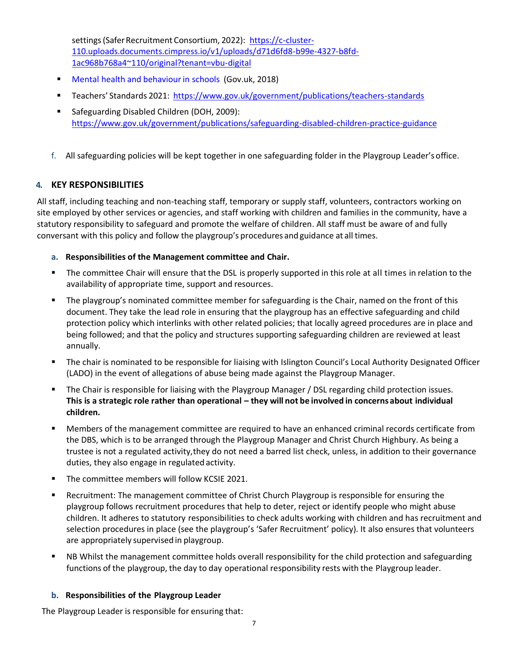settings (Safer Recruitment Consortium, 2022): [https://c-cluster-](https://c-cluster-110.uploads.documents.cimpress.io/v1/uploads/d71d6fd8-b99e-4327-b8fd-1ac968b768a4~110/original?tenant=vbu-digital)[110.uploads.documents.cimpress.io/v1/uploads/d71d6fd8-b99e-4327-b8fd-](https://c-cluster-110.uploads.documents.cimpress.io/v1/uploads/d71d6fd8-b99e-4327-b8fd-1ac968b768a4~110/original?tenant=vbu-digital)[1ac968b768a4~110/original?tenant=vbu-digital](https://c-cluster-110.uploads.documents.cimpress.io/v1/uploads/d71d6fd8-b99e-4327-b8fd-1ac968b768a4~110/original?tenant=vbu-digital)

- Mental health and behaviour in schools (Gov.uk, 2018)
- Teachers' Standards 2021: <https://www.gov.uk/government/publications/teachers-standards>
- Safeguarding Disabled Children (DOH, 2009): <https://www.gov.uk/government/publications/safeguarding-disabled-children-practice-guidance>
- f. All safeguarding policies will be kept together in one safeguarding folder in the Playgroup Leader'soffice.

# **4. KEY RESPONSIBILITIES**

All staff, including teaching and non-teaching staff, temporary or supply staff, volunteers, contractors working on site employed by other services or agencies, and staff working with children and families in the community, have a statutory responsibility to safeguard and promote the welfare of children. All staff must be aware of and fully conversant with this policy and follow the playgroup's procedures and guidance at all times.

# **a. Responsibilities of the Management committee and Chair.**

- The committee Chair will ensure that the DSL is properly supported in this role at all times in relation to the availability of appropriate time, support and resources.
- **•** The playgroup's nominated committee member for safeguarding is the Chair, named on the front of this document. They take the lead role in ensuring that the playgroup has an effective safeguarding and child protection policy which interlinks with other related policies; that locally agreed procedures are in place and being followed; and that the policy and structures supporting safeguarding children are reviewed at least annually.
- The chair is nominated to be responsible for liaising with Islington Council's Local Authority Designated Officer (LADO) in the event of allegations of abuse being made against the Playgroup Manager.
- The Chair is responsible for liaising with the Playgroup Manager / DSL regarding child protection issues. **This is a strategic role rather than operational – they will not be involved in concerns about individual children.**
- Members of the management committee are required to have an enhanced criminal records certificate from the DBS, which is to be arranged through the Playgroup Manager and Christ Church Highbury. As being a trustee is not a regulated activity,they do not need a barred list check, unless, in addition to their governance duties, they also engage in regulated activity.
- The committee members will follow KCSIE 2021.
- **■** Recruitment: The management committee of Christ Church Playgroup is responsible for ensuring the playgroup follows recruitment procedures that help to deter, reject or identify people who might abuse children. It adheres to statutory responsibilities to check adults working with children and has recruitment and selection procedures in place (see the playgroup's 'Safer Recruitment' policy). It also ensures that volunteers are appropriately supervised in playgroup.
- NB Whilst the management committee holds overall responsibility for the child protection and safeguarding functions of the playgroup, the day to day operational responsibility rests with the Playgroup leader.

# **b. Responsibilities of the Playgroup Leader**

The Playgroup Leader is responsible for ensuring that: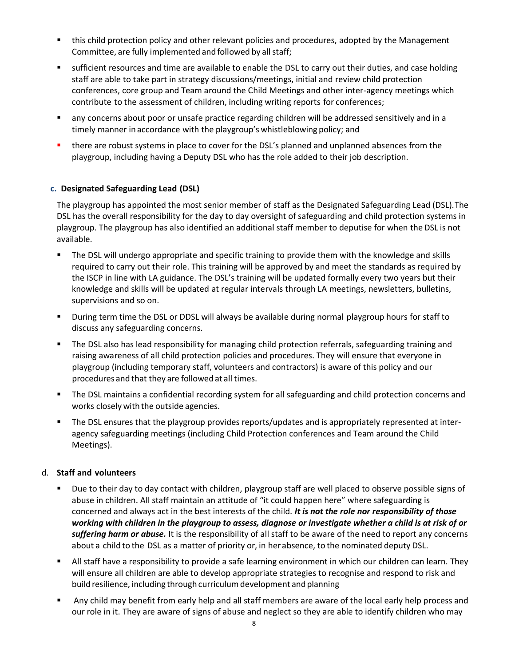- this child protection policy and other relevant policies and procedures, adopted by the Management Committee, are fully implemented and followed by all staff;
- sufficient resources and time are available to enable the DSL to carry out their duties, and case holding staff are able to take part in strategy discussions/meetings, initial and review child protection conferences, core group and Team around the Child Meetings and other inter-agency meetings which contribute to the assessment of children, including writing reports for conferences;
- any concerns about poor or unsafe practice regarding children will be addressed sensitively and in a timely manner in accordance with the playgroup's whistleblowing policy; and
- there are robust systems in place to cover for the DSL's planned and unplanned absences from the playgroup, including having a Deputy DSL who has the role added to their job description.

# **c. Designated Safeguarding Lead (DSL)**

The playgroup has appointed the most senior member of staff as the Designated Safeguarding Lead (DSL).The DSL has the overall responsibility for the day to day oversight of safeguarding and child protection systems in playgroup. The playgroup has also identified an additional staff member to deputise for when the DSL is not available.

- The DSL will undergo appropriate and specific training to provide them with the knowledge and skills required to carry out their role. This training will be approved by and meet the standards as required by the ISCP in line with LA guidance. The DSL's training will be updated formally every two years but their knowledge and skills will be updated at regular intervals through LA meetings, newsletters, bulletins, supervisions and so on.
- During term time the DSL or DDSL will always be available during normal playgroup hours for staff to discuss any safeguarding concerns.
- The DSL also has lead responsibility for managing child protection referrals, safeguarding training and raising awareness of all child protection policies and procedures. They will ensure that everyone in playgroup (including temporary staff, volunteers and contractors) is aware of this policy and our procedures and that they are followed at all times.
- The DSL maintains a confidential recording system for all safeguarding and child protection concerns and works closely with the outside agencies.
- **•** The DSL ensures that the playgroup provides reports/updates and is appropriately represented at interagency safeguarding meetings (including Child Protection conferences and Team around the Child Meetings).

# d. **Staff and volunteers**

- Due to their day to day contact with children, playgroup staff are well placed to observe possible signs of abuse in children. All staff maintain an attitude of "it could happen here" where safeguarding is concerned and always act in the best interests of the child. *It is not the role nor responsibility of those working with children in the playgroup to assess, diagnose or investigate whether a child is at risk of or suffering harm or abuse.* It is the responsibility of all staff to be aware of the need to report any concerns about a child to the DSL as a matter of priority or, in her absence, to the nominated deputy DSL.
- All staff have a responsibility to provide a safe learning environment in which our children can learn. They will ensure all children are able to develop appropriate strategies to recognise and respond to risk and build resilience, including through curriculumdevelopment and planning
- Any child may benefit from early help and all staff members are aware of the local early help process and our role in it. They are aware of signs of abuse and neglect so they are able to identify children who may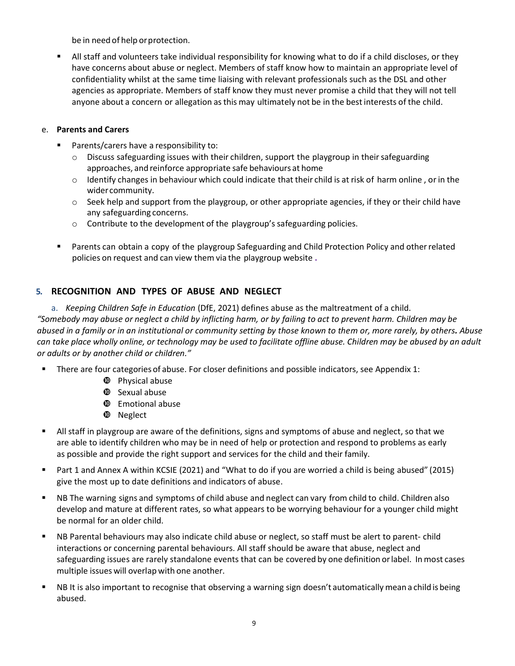be in need of help or protection.

▪ All staff and volunteers take individual responsibility for knowing what to do if a child discloses, or they have concerns about abuse or neglect. Members of staff know how to maintain an appropriate level of confidentiality whilst at the same time liaising with relevant professionals such as the DSL and other agencies as appropriate. Members of staff know they must never promise a child that they will not tell anyone about a concern or allegation asthis may ultimately not be in the bestinterests of the child.

# e. **Parents and Carers**

- Parents/carers have a responsibility to:
	- $\circ$  Discuss safeguarding issues with their children, support the playgroup in their safeguarding approaches, and reinforce appropriate safe behaviours at home
	- $\circ$  Identify changes in behaviour which could indicate that their child is at risk of harm online, or in the wider community.
	- $\circ$  Seek help and support from the playgroup, or other appropriate agencies, if they or their child have any safeguarding concerns.
	- o Contribute to the development of the playgroup's safeguarding policies.
- Parents can obtain a copy of the playgroup Safeguarding and Child Protection Policy and other related policies on request and can view them via the playgroup website **.**

# **5. RECOGNITION AND TYPES OF ABUSE AND NEGLECT**

a. *Keeping Children Safe in Education* (DfE, 2021) defines abuse as the maltreatment of a child. *"Somebody may abuse or neglect a child by inflicting harm, or by failing to act to prevent harm. Children may be abused in a family or in an institutional or community setting by those known to them or, more rarely, by others. Abuse can take place wholly online, or technology may be used to facilitate offline abuse. Children may be abused by an adult or adults or by another child or children."*

- There are four categories of abuse. For closer definitions and possible indicators, see Appendix 1:
	- **<sup>** $\Phi$ **</sup>** Physical abuse
	- $\Phi$  Sexual abuse
	- $\Phi$  Emotional abuse
	- $\Phi$  Neglect
- All staff in playgroup are aware of the definitions, signs and symptoms of abuse and neglect, so that we are able to identify children who may be in need of help or protection and respond to problems as early as possible and provide the right support and services for the child and their family.
- Part 1 and Annex A within KCSIE (2021) and "What to do if you are worried a child is being abused" (2015) give the most up to date definitions and indicators of abuse.
- NB The warning signs and symptoms of child abuse and neglect can vary from child to child. Children also develop and mature at different rates, so what appears to be worrying behaviour for a younger child might be normal for an older child.
- NB Parental behaviours may also indicate child abuse or neglect, so staff must be alert to parent- child interactions or concerning parental behaviours. All staff should be aware that abuse, neglect and safeguarding issues are rarely standalone events that can be covered by one definition orlabel. Inmost cases multiple issues will overlap with one another.
- NB It is also important to recognise that observing a warning sign doesn't automatically mean a child is being abused.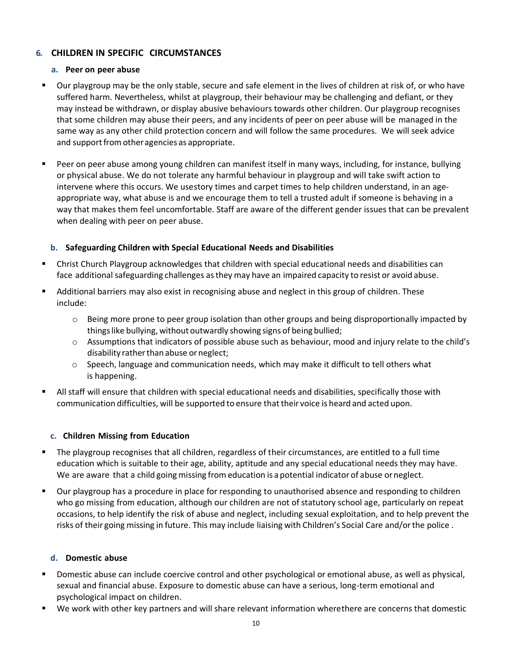# **6. CHILDREN IN SPECIFIC CIRCUMSTANCES**

# **a. Peer on peer abuse**

- Our playgroup may be the only stable, secure and safe element in the lives of children at risk of, or who have suffered harm. Nevertheless, whilst at playgroup, their behaviour may be challenging and defiant, or they may instead be withdrawn, or display abusive behaviours towards other children. Our playgroup recognises that some children may abuse their peers, and any incidents of peer on peer abuse will be managed in the same way as any other child protection concern and will follow the same procedures. We will seek advice and support from other agencies as appropriate.
- Peer on peer abuse among young children can manifest itself in many ways, including, for instance, bullying or physical abuse. We do not tolerate any harmful behaviour in playgroup and will take swift action to intervene where this occurs. We usestory times and carpet times to help children understand, in an ageappropriate way, what abuse is and we encourage them to tell a trusted adult if someone is behaving in a way that makes them feel uncomfortable. Staff are aware of the different gender issues that can be prevalent when dealing with peer on peer abuse.

# **b. Safeguarding Children with Special Educational Needs and Disabilities**

- Christ Church Playgroup acknowledges that children with special educational needs and disabilities can face additional safeguarding challenges asthey may have an impaired capacity to resist or avoid abuse.
- Additional barriers may also exist in recognising abuse and neglect in this group of children. These include:
	- $\circ$  Being more prone to peer group isolation than other groups and being disproportionally impacted by thingslike bullying, without outwardly showing signs of being bullied;
	- o Assumptions that indicators of possible abuse such as behaviour, mood and injury relate to the child's disability rather than abuse or neglect;
	- o Speech, language and communication needs, which may make it difficult to tell others what is happening.
- All staff will ensure that children with special educational needs and disabilities, specifically those with communication difficulties, will be supported to ensure that their voice is heard and acted upon.

## **c. Children Missing from Education**

- The playgroup recognises that all children, regardless of their circumstances, are entitled to a full time education which is suitable to their age, ability, aptitude and any special educational needs they may have. We are aware that a child going missing from education is a potential indicator of abuse or neglect.
- Our playgroup has a procedure in place for responding to unauthorised absence and responding to children who go missing from education, although our children are not of statutory school age, particularly on repeat occasions, to help identify the risk of abuse and neglect, including sexual exploitation, and to help prevent the risks of their going missing in future. This may include liaising with Children's Social Care and/orthe police .

## **d. Domestic abuse**

- Domestic abuse can include coercive control and other psychological or emotional abuse, as well as physical, sexual and financial abuse. Exposure to domestic abuse can have a serious, long-term emotional and psychological impact on children.
- We work with other key partners and will share relevant information wherethere are concerns that domestic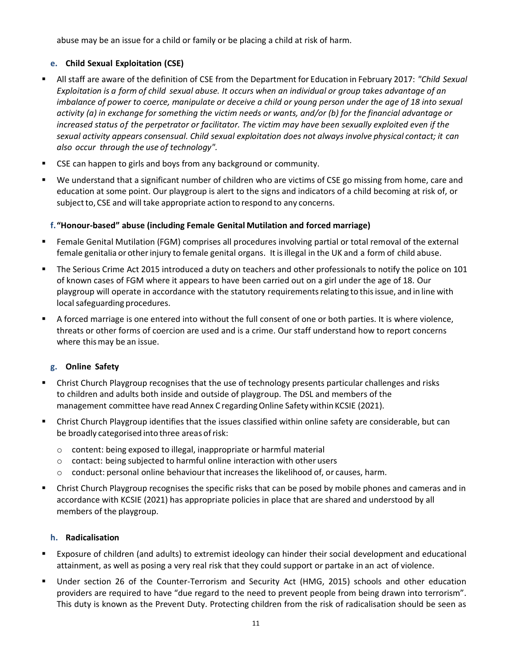abuse may be an issue for a child or family or be placing a child at risk of harm.

# **e. Child Sexual Exploitation (CSE)**

- All staff are aware of the definition of CSE from the Department for Education in February 2017: *"Child Sexual Exploitation is a form of child sexual abuse. It occurs when an individual or group takes advantage of an imbalance of power to coerce, manipulate or deceive a child or young person under the age of 18 into sexual activity (a) in exchange for something the victim needs or wants, and/or (b) for the financial advantage or increased status of the perpetrator or facilitator. The victim may have been sexually exploited even if the sexual activity appears consensual. Child sexual exploitation does not always involve physical contact; it can also occur through the use of technology".*
- CSE can happen to girls and boys from any background or community.
- We understand that a significant number of children who are victims of CSE go missing from home, care and education at some point. Our playgroup is alert to the signs and indicators of a child becoming at risk of, or subject to, CSE and will take appropriate action to respond to any concerns.

# **f."Honour-based" abuse (including Female Genital Mutilation and forced marriage)**

- Female Genital Mutilation (FGM) comprises all procedures involving partial or total removal of the external female genitalia or other injury to female genital organs. It is illegal in the UK and a form of child abuse.
- The Serious Crime Act 2015 introduced a duty on teachers and other professionals to notify the police on 101 of known cases of FGM where it appears to have been carried out on a girl under the age of 18. Our playgroup will operate in accordance with the statutory requirements relating to this issue, and in line with local safeguarding procedures.
- A forced marriage is one entered into without the full consent of one or both parties. It is where violence, threats or other forms of coercion are used and is a crime. Our staff understand how to report concerns where this may be an issue.

# **g. Online Safety**

- Christ Church Playgroup recognises that the use of technology presents particular challenges and risks to children and adults both inside and outside of playgroup. The DSL and members of the management committee have read Annex C regarding Online Safety within KCSIE (2021).
- Christ Church Playgroup identifies that the issues classified within online safety are considerable, but can be broadly categorised into three areas of risk:
	- o content: being exposed to illegal, inappropriate or harmful material
	- $\circ$  contact: being subjected to harmful online interaction with other users
	- $\circ$  conduct: personal online behaviour that increases the likelihood of, or causes, harm.
- Christ Church Playgroup recognises the specific risks that can be posed by mobile phones and cameras and in accordance with KCSIE (2021) has appropriate policies in place that are shared and understood by all members of the playgroup.

# **h. Radicalisation**

- Exposure of children (and adults) to extremist ideology can hinder their social development and educational attainment, as well as posing a very real risk that they could support or partake in an act of violence.
- **■** Under section 26 of the Counter-Terrorism and Security Act (HMG, 2015) schools and other education providers are required to have "due regard to the need to prevent people from being drawn into terrorism". This duty is known as the Prevent Duty. Protecting children from the risk of radicalisation should be seen as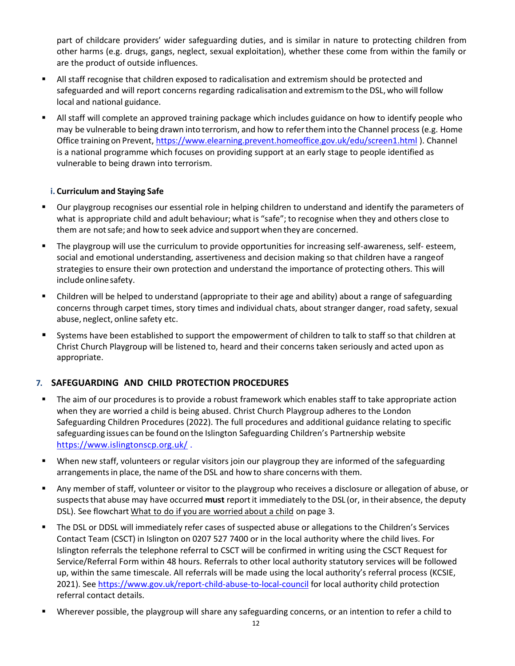part of childcare providers' wider safeguarding duties, and is similar in nature to protecting children from other harms (e.g. drugs, gangs, neglect, sexual exploitation), whether these come from within the family or are the product of outside influences.

- All staff recognise that children exposed to radicalisation and extremism should be protected and safeguarded and will report concerns regarding radicalisation and extremismto the DSL,who will follow local and national guidance.
- All staff will complete an approved training package which includes guidance on how to identify people who may be vulnerable to being drawn into terrorism, and how to refertheminto the Channel process (e.g. Home Office training on Prevent, <https://www.elearning.prevent.homeoffice.gov.uk/edu/screen1.html> ). Channel is a national programme which focuses on providing support at an early stage to people identified as vulnerable to being drawn into terrorism.

# **i. Curriculum and Staying Safe**

- Our playgroup recognises our essential role in helping children to understand and identify the parameters of what is appropriate child and adult behaviour; what is "safe"; to recognise when they and others close to them are notsafe; and how to seek advice and support when they are concerned.
- The playgroup will use the curriculum to provide opportunities for increasing self-awareness, self- esteem, social and emotional understanding, assertiveness and decision making so that children have a rangeof strategies to ensure their own protection and understand the importance of protecting others. This will include online safety.
- Children will be helped to understand (appropriate to their age and ability) about a range of safeguarding concerns through carpet times, story times and individual chats, about stranger danger, road safety, sexual abuse, neglect, online safety etc.
- Systems have been established to support the empowerment of children to talk to staff so that children at Christ Church Playgroup will be listened to, heard and their concerns taken seriously and acted upon as appropriate.

# **7. SAFEGUARDING AND CHILD PROTECTION PROCEDURES**

- The aim of our procedures is to provide a robust framework which enables staff to take appropriate action when they are worried a child is being abused. Christ Church Playgroup adheres to the London Safeguarding Children Procedures (2022). The full procedures and additional guidance relating to specific safeguarding issues can be found on the Islington Safeguarding Children's Partnership website <https://www.islingtonscp.org.uk/> .
- When new staff, volunteers or regular visitors join our playgroup they are informed of the safeguarding arrangements in place, the name of the DSL and how to share concerns with them.
- Any member of staff, volunteer or visitor to the playgroup who receives a disclosure or allegation of abuse, or suspectsthat abuse may have occurred **must** reportit immediately to the DSL (or, in their absence, the deputy DSL). See flowchart What to do if you are worried about a child on page 3.
- The DSL or DDSL will immediately refer cases of suspected abuse or allegations to the Children's Services Contact Team (CSCT) in Islington on 0207 527 7400 or in the local authority where the child lives. For Islington referrals the telephone referral to CSCT will be confirmed in writing using the CSCT Request for Service/Referral Form within 48 hours. Referrals to other local authority statutory services will be followed up, within the same timescale. All referrals will be made using the local authority's referral process (KCSIE, 2021). See <https://www.gov.uk/report-child-abuse-to-local-council> for local authority child protection referral contact details.
- Wherever possible, the playgroup will share any safeguarding concerns, or an intention to refer a child to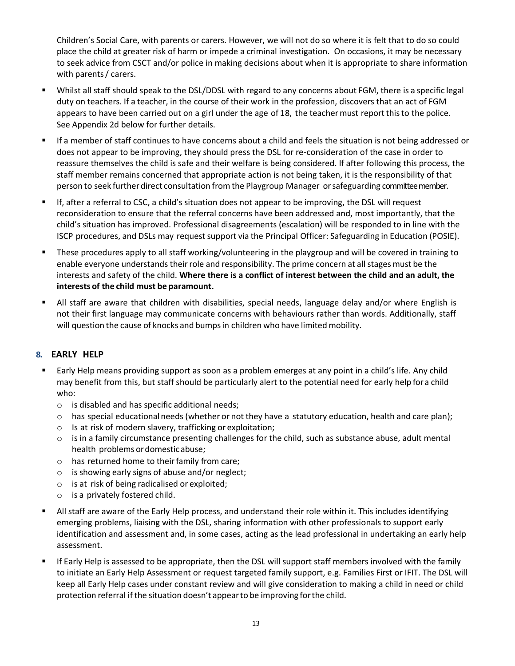Children's Social Care, with parents or carers. However, we will not do so where it is felt that to do so could place the child at greater risk of harm or impede a criminal investigation. On occasions, it may be necessary to seek advice from CSCT and/or police in making decisions about when it is appropriate to share information with parents/ carers.

- Whilst all staff should speak to the DSL/DDSL with regard to any concerns about FGM, there is a specific legal duty on teachers. If a teacher, in the course of their work in the profession, discovers that an act of FGM appears to have been carried out on a girl under the age of 18, the teachermust report thisto the police. See Appendix 2d below for further details.
- If a member of staff continues to have concerns about a child and feels the situation is not being addressed or does not appear to be improving, they should press the DSL for re-consideration of the case in order to reassure themselves the child is safe and their welfare is being considered. If after following this process, the staff member remains concerned that appropriate action is not being taken, it is the responsibility of that person to seek further direct consultation from the Playgroup Manager or safeguarding committee member.
- If, after a referral to CSC, a child's situation does not appear to be improving, the DSL will request reconsideration to ensure that the referral concerns have been addressed and, most importantly, that the child's situation has improved. Professional disagreements (escalation) will be responded to in line with the ISCP procedures, and DSLs may request support via the Principal Officer: Safeguarding in Education (POSIE).
- These procedures apply to all staff working/volunteering in the playgroup and will be covered in training to enable everyone understands their role and responsibility. The prime concern at all stages must be the interests and safety of the child. **Where there is a conflict of interest between the child and an adult, the interests of the child must be paramount.**
- All staff are aware that children with disabilities, special needs, language delay and/or where English is not their first language may communicate concerns with behaviours rather than words. Additionally, staff will question the cause of knocks and bumps in children who have limited mobility.

# **8. EARLY HELP**

- Early Help means providing support as soon as a problem emerges at any point in a child's life. Any child may benefit from this, but staff should be particularly alert to the potential need for early help fora child who:
	- o is disabled and has specific additional needs;
	- $\circ$  has special educational needs (whether or not they have a statutory education, health and care plan);
	- o Is at risk of modern slavery, trafficking or exploitation;
	- $\circ$  is in a family circumstance presenting challenges for the child, such as substance abuse, adult mental health problems ordomestic abuse;
	- $\circ$  has returned home to their family from care;
	- $\circ$  is showing early signs of abuse and/or neglect;
	- $\circ$  is at risk of being radicalised or exploited;
	- o is a privately fostered child.
- All staff are aware of the Early Help process, and understand their role within it. This includes identifying emerging problems, liaising with the DSL, sharing information with other professionals to support early identification and assessment and, in some cases, acting as the lead professional in undertaking an early help assessment.
- If Early Help is assessed to be appropriate, then the DSL will support staff members involved with the family to initiate an Early Help Assessment or request targeted family support, e.g. Families First or IFIT. The DSL will keep all Early Help cases under constant review and will give consideration to making a child in need or child protection referral if the situation doesn't appearto be improving forthe child.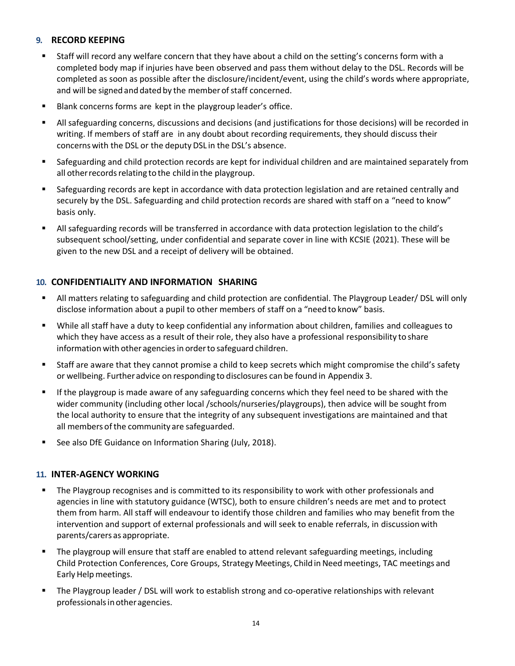# **9. RECORD KEEPING**

- Staff will record any welfare concern that they have about a child on the setting's concerns form with a completed body map if injuries have been observed and pass them without delay to the DSL. Records will be completed as soon as possible after the disclosure/incident/event, using the child's words where appropriate, and will be signed and dated by the member of staff concerned.
- Blank concerns forms are kept in the playgroup leader's office.
- All safeguarding concerns, discussions and decisions (and justifications for those decisions) will be recorded in writing. If members of staff are in any doubt about recording requirements, they should discuss their concernswith the DSL or the deputy DSL in the DSL's absence.
- Safeguarding and child protection records are kept for individual children and are maintained separately from all other records relating to the child in the playgroup.
- Safeguarding records are kept in accordance with data protection legislation and are retained centrally and securely by the DSL. Safeguarding and child protection records are shared with staff on a "need to know" basis only.
- All safeguarding records will be transferred in accordance with data protection legislation to the child's subsequent school/setting, under confidential and separate cover in line with KCSIE (2021). These will be given to the new DSL and a receipt of delivery will be obtained.

# **10. CONFIDENTIALITY AND INFORMATION SHARING**

- **E** All matters relating to safeguarding and child protection are confidential. The Playgroup Leader/ DSL will only disclose information about a pupil to other members of staff on a "need to know" basis.
- While all staff have a duty to keep confidential any information about children, families and colleagues to which they have access as a result of their role, they also have a professional responsibility to share information with other agencies in order to safeguard children.
- Staff are aware that they cannot promise a child to keep secrets which might compromise the child's safety or wellbeing. Further advice on responding to disclosures can be found in Appendix 3.
- **■** If the playgroup is made aware of any safeguarding concerns which they feel need to be shared with the wider community (including other local /schools/nurseries/playgroups), then advice will be sought from the local authority to ensure that the integrity of any subsequent investigations are maintained and that all members of the community are safeguarded.
- See also DfE Guidance on Information Sharing (July, 2018).

# **11. INTER-AGENCY WORKING**

- **■** The Playgroup recognises and is committed to its responsibility to work with other professionals and agencies in line with statutory guidance (WTSC), both to ensure children's needs are met and to protect them from harm. All staff will endeavour to identify those children and families who may benefit from the intervention and support of external professionals and will seek to enable referrals, in discussion with parents/carers as appropriate.
- The playgroup will ensure that staff are enabled to attend relevant safeguarding meetings, including Child Protection Conferences, Core Groups, Strategy Meetings, Child in Need meetings, TAC meetings and Early Helpmeetings.
- The Playgroup leader / DSL will work to establish strong and co-operative relationships with relevant professionals in other agencies.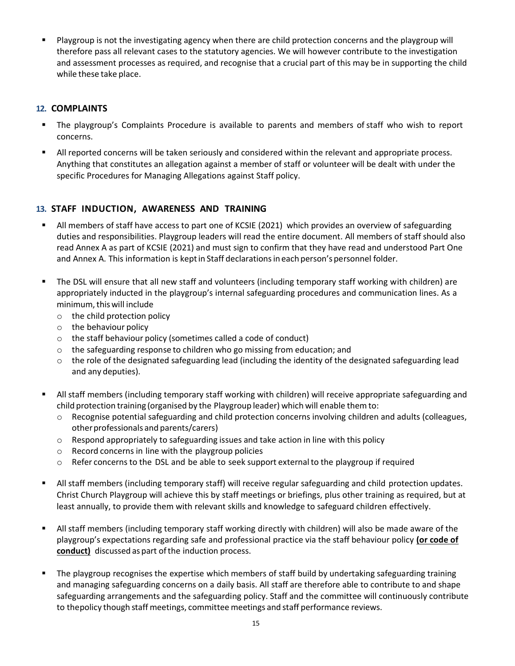Playgroup is not the investigating agency when there are child protection concerns and the playgroup will therefore pass all relevant cases to the statutory agencies. We will however contribute to the investigation and assessment processes as required, and recognise that a crucial part of this may be in supporting the child while these take place.

# **12. COMPLAINTS**

- **.** The playgroup's Complaints Procedure is available to parents and members of staff who wish to report concerns.
- All reported concerns will be taken seriously and considered within the relevant and appropriate process. Anything that constitutes an allegation against a member of staff or volunteer will be dealt with under the specific Procedures for Managing Allegations against Staff policy.

# **13. STAFF INDUCTION, AWARENESS AND TRAINING**

- All members of staff have access to part one of KCSIE (2021) which provides an overview of safeguarding duties and responsibilities. Playgroup leaders will read the entire document. All members of staff should also read Annex A as part of KCSIE (2021) and must sign to confirm that they have read and understood Part One and Annex A. This information is kept in Staff declarations in each person's personnel folder.
- The DSL will ensure that all new staff and volunteers (including temporary staff working with children) are appropriately inducted in the playgroup's internal safeguarding procedures and communication lines. As a minimum, this will include
	- o the child protection policy
	- o the behaviour policy
	- o the staff behaviour policy (sometimes called a code of conduct)
	- o the safeguarding response to children who go missing from education; and
	- $\circ$  the role of the designated safeguarding lead (including the identity of the designated safeguarding lead and any deputies).
- All staff members (including temporary staff working with children) will receive appropriate safeguarding and child protection training (organised by the Playgroup leader) which will enable themto:
	- $\circ$  Recognise potential safeguarding and child protection concerns involving children and adults (colleagues, otherprofessionals and parents/carers)
	- $\circ$  Respond appropriately to safeguarding issues and take action in line with this policy
	- o Record concerns in line with the playgroup policies
	- $\circ$  Refer concerns to the DSL and be able to seek support external to the playgroup if required
- All staff members (including temporary staff) will receive regular safeguarding and child protection updates. Christ Church Playgroup will achieve this by staff meetings or briefings, plus other training as required, but at least annually, to provide them with relevant skills and knowledge to safeguard children effectively.
- All staff members (including temporary staff working directly with children) will also be made aware of the playgroup's expectations regarding safe and professional practice via the staff behaviour policy **(or code of** conduct) discussed as part of the induction process.
- The playgroup recognises the expertise which members of staff build by undertaking safeguarding training and managing safeguarding concerns on a daily basis. All staff are therefore able to contribute to and shape safeguarding arrangements and the safeguarding policy. Staff and the committee will continuously contribute to thepolicy though staff meetings, committee meetings and staff performance reviews.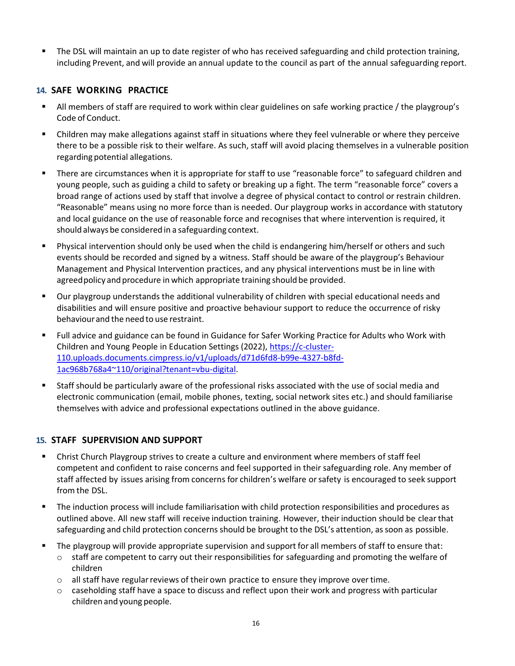The DSL will maintain an up to date register of who has received safeguarding and child protection training, including Prevent, and will provide an annual update to the council as part of the annual safeguarding report.

# **14. SAFE WORKING PRACTICE**

- All members of staff are required to work within clear guidelines on safe working practice / the playgroup's Code of Conduct.
- Children may make allegations against staff in situations where they feel vulnerable or where they perceive there to be a possible risk to their welfare. As such, staff will avoid placing themselves in a vulnerable position regarding potential allegations.
- There are circumstances when it is appropriate for staff to use "reasonable force" to safeguard children and young people, such as guiding a child to safety or breaking up a fight. The term "reasonable force" covers a broad range of actions used by staff that involve a degree of physical contact to control or restrain children. "Reasonable" means using no more force than is needed. Our playgroup works in accordance with statutory and local guidance on the use of reasonable force and recognises that where intervention is required, it should always be considered in a safeguarding context.
- Physical intervention should only be used when the child is endangering him/herself or others and such events should be recorded and signed by a witness. Staff should be aware of the playgroup's Behaviour Management and Physical Intervention practices, and any physical interventions must be in line with agreed policy and procedure in which appropriate training should be provided.
- Our playgroup understands the additional vulnerability of children with special educational needs and disabilities and will ensure positive and proactive behaviour support to reduce the occurrence of risky behaviourand the need to use restraint.
- Full advice and guidance can be found in Guidance for Safer Working Practice for Adults who Work with Children and Young People in Education Settings (2022), [https://c-cluster-](https://c-cluster-110.uploads.documents.cimpress.io/v1/uploads/d71d6fd8-b99e-4327-b8fd-1ac968b768a4~110/original?tenant=vbu-digital)[110.uploads.documents.cimpress.io/v1/uploads/d71d6fd8-b99e-4327-b8fd-](https://c-cluster-110.uploads.documents.cimpress.io/v1/uploads/d71d6fd8-b99e-4327-b8fd-1ac968b768a4~110/original?tenant=vbu-digital)[1ac968b768a4~110/original?tenant=vbu-digital.](https://c-cluster-110.uploads.documents.cimpress.io/v1/uploads/d71d6fd8-b99e-4327-b8fd-1ac968b768a4~110/original?tenant=vbu-digital)
- Staff should be particularly aware of the professional risks associated with the use of social media and electronic communication (email, mobile phones, texting, social network sites etc.) and should familiarise themselves with advice and professional expectations outlined in the above guidance.

# **15. STAFF SUPERVISION AND SUPPORT**

- **Christ Church Playgroup strives to create a culture and environment where members of staff feel** competent and confident to raise concerns and feel supported in their safeguarding role. Any member of staff affected by issues arising from concerns for children's welfare orsafety is encouraged to seek support from the DSL.
- The induction process will include familiarisation with child protection responsibilities and procedures as outlined above. All new staff will receive induction training. However, their induction should be clear that safeguarding and child protection concerns should be brought to the DSL's attention, assoon as possible.
- The playgroup will provide appropriate supervision and support for all members of staff to ensure that:
	- $\circ$  staff are competent to carry out their responsibilities for safeguarding and promoting the welfare of children
	- $\circ$  all staff have regular reviews of their own practice to ensure they improve over time.
	- $\circ$  caseholding staff have a space to discuss and reflect upon their work and progress with particular children and young people.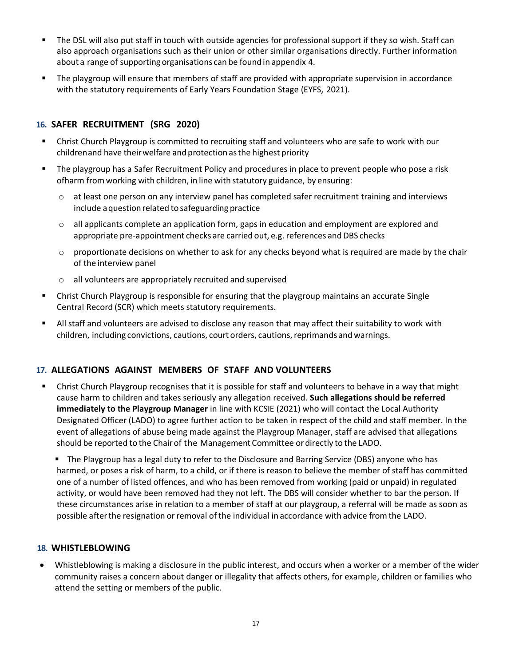- The DSL will also put staff in touch with outside agencies for professional support if they so wish. Staff can also approach organisations such as their union or other similar organisations directly. Further information about a range of supporting organisations can be found in appendix 4.
- The playgroup will ensure that members of staff are provided with appropriate supervision in accordance with the statutory requirements of Early Years Foundation Stage (EYFS, 2021).

# **16. SAFER RECRUITMENT (SRG 2020)**

- Christ Church Playgroup is committed to recruiting staff and volunteers who are safe to work with our children and have theirwelfare and protection asthe highest priority
- The playgroup has a Safer Recruitment Policy and procedures in place to prevent people who pose a risk ofharm fromworking with children, in line with statutory guidance, by ensuring:
	- o at least one person on any interview panel has completed safer recruitment training and interviews include aquestion related to safeguarding practice
	- $\circ$  all applicants complete an application form, gaps in education and employment are explored and appropriate pre-appointment checks are carried out, e.g. references and DBS checks
	- $\circ$  proportionate decisions on whether to ask for any checks beyond what is required are made by the chair of the interview panel
	- o all volunteers are appropriately recruited and supervised
- Christ Church Playgroup is responsible for ensuring that the playgroup maintains an accurate Single Central Record (SCR) which meets statutory requirements.
- All staff and volunteers are advised to disclose any reason that may affect their suitability to work with children, including convictions, cautions, court orders, cautions,reprimands and warnings.

# **17. ALLEGATIONS AGAINST MEMBERS OF STAFF AND VOLUNTEERS**

- Christ Church Playgroup recognises that it is possible for staff and volunteers to behave in a way that might cause harm to children and takes seriously any allegation received. **Such allegations should be referred immediately to the Playgroup Manager** in line with KCSIE (2021) who will contact the Local Authority Designated Officer (LADO) to agree further action to be taken in respect of the child and staff member. In the event of allegations of abuse being made against the Playgroup Manager, staff are advised that allegations should be reported to the Chairof the Management Committee ordirectly to the LADO.
	- The Playgroup has a legal duty to refer to the Disclosure and Barring Service (DBS) anyone who has harmed, or poses a risk of harm, to a child, or if there is reason to believe the member of staff has committed one of a number of listed offences, and who has been removed from working (paid or unpaid) in regulated activity, or would have been removed had they not left. The DBS will consider whether to bar the person. If these circumstances arise in relation to a member of staff at our playgroup, a referral will be made as soon as possible afterthe resignation or removal of the individual in accordance with advice fromthe LADO.

# **18. WHISTLEBLOWING**

• Whistleblowing is making a disclosure in the public interest, and occurs when a worker or a member of the wider community raises a concern about danger or illegality that affects others, for example, children or families who attend the setting or members of the public.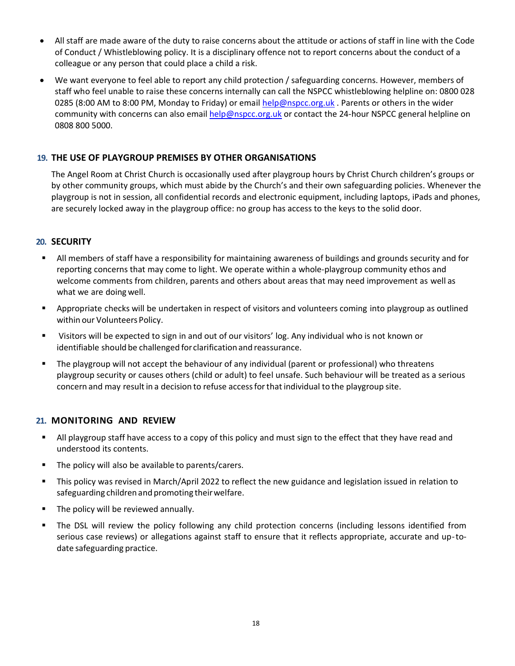- All staff are made aware of the duty to raise concerns about the attitude or actions of staff in line with the Code of Conduct / Whistleblowing policy. It is a disciplinary offence not to report concerns about the conduct of a colleague or any person that could place a child a risk.
- We want everyone to feel able to report any child protection / safeguarding concerns. However, members of staff who feel unable to raise these concerns internally can call the NSPCC whistleblowing helpline on: 0800 028 0285 (8:00 AM to 8:00 PM, Monday to Friday) or email [help@nspcc.org.uk](mailto:help@nspcc.org.uk). Parents or others in the wider community with concerns can also email [help@nspcc.org.uk](mailto:help@nspcc.org.uk) or contact the 24-hour NSPCC general helpline on 0808 800 5000.

# **19. THE USE OF PLAYGROUP PREMISES BY OTHER ORGANISATIONS**

The Angel Room at Christ Church is occasionally used after playgroup hours by Christ Church children's groups or by other community groups, which must abide by the Church's and their own safeguarding policies. Whenever the playgroup is not in session, all confidential records and electronic equipment, including laptops, iPads and phones, are securely locked away in the playgroup office: no group has access to the keys to the solid door.

# **20. SECURITY**

- All members of staff have a responsibility for maintaining awareness of buildings and grounds security and for reporting concerns that may come to light. We operate within a whole-playgroup community ethos and welcome comments from children, parents and others about areas that may need improvement as well as what we are doing well.
- Appropriate checks will be undertaken in respect of visitors and volunteers coming into playgroup as outlined within our Volunteers Policy.
- Visitors will be expected to sign in and out of our visitors' log. Any individual who is not known or identifiable should be challenged forclarification and reassurance.
- The playgroup will not accept the behaviour of any individual (parent or professional) who threatens playgroup security or causes others (child or adult) to feel unsafe. Such behaviour will be treated as a serious concern and may result in a decision to refuse access for that individual to the playgroup site.

# **21. MONITORING AND REVIEW**

- All playgroup staff have access to a copy of this policy and must sign to the effect that they have read and understood its contents.
- The policy will also be available to parents/carers.
- This policy was revised in March/April 2022 to reflect the new guidance and legislation issued in relation to safeguarding children and promoting their welfare.
- The policy will be reviewed annually.
- The DSL will review the policy following any child protection concerns (including lessons identified from serious case reviews) or allegations against staff to ensure that it reflects appropriate, accurate and up-todate safeguarding practice.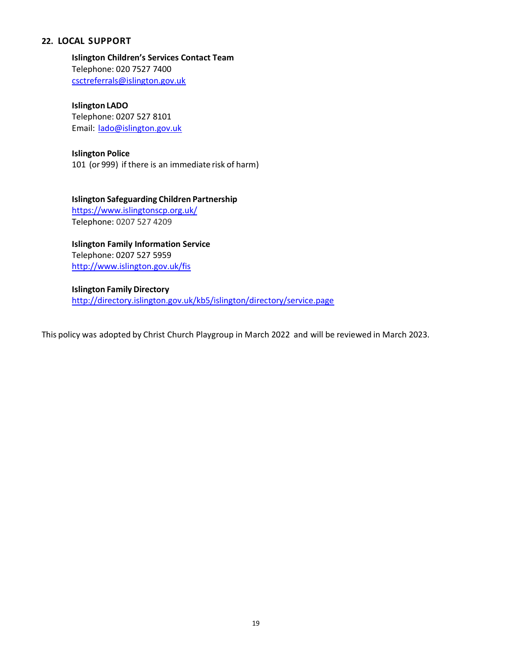# **22. LOCAL SUPPORT**

**Islington Children's Services Contact Team** Telephone: 020 7527 7400 [csctreferrals@islington.gov.uk](mailto:csctreferrals@islington.gov.uk)

**Islington LADO** Telephone: 0207 527 8101 Email: [lado@islington.gov.uk](mailto:lado@islington.gov.uk)

### **Islington Police**

101 (or 999) if there is an immediate risk of harm)

**Islington Safeguarding Children Partnership**  <https://www.islingtonscp.org.uk/> Telephone: 0207 527 4209

**Islington Family Information Service** Telephone: 0207 527 5959 <http://www.islington.gov.uk/fis>

**Islington Family Directory** <http://directory.islington.gov.uk/kb5/islington/directory/service.page>

This policy was adopted by Christ Church Playgroup in March 2022 and will be reviewed in March 2023.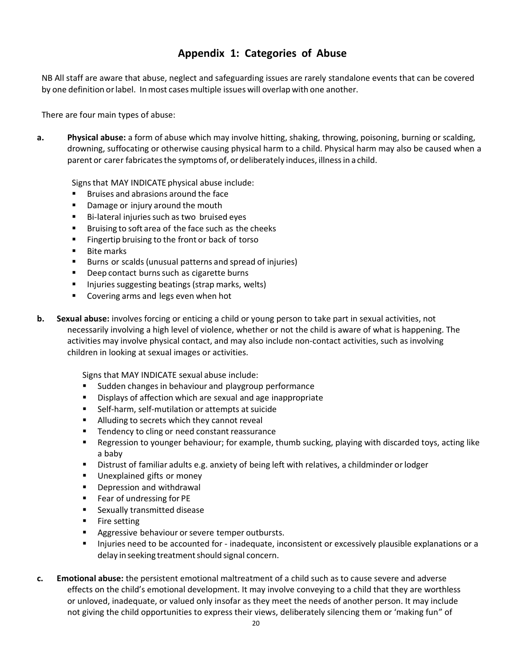# **Appendix 1: Categories of Abuse**

NB All staff are aware that abuse, neglect and safeguarding issues are rarely standalone events that can be covered by one definition orlabel. Inmost casesmultiple issues will overlap with one another.

There are four main types of abuse:

**a. Physical abuse:** a form of abuse which may involve hitting, shaking, throwing, poisoning, burning or scalding, drowning, suffocating or otherwise causing physical harm to a child. Physical harm may also be caused when a parent or carer fabricatesthe symptoms of, ordeliberately induces, illnessin a child.

Signsthat MAY INDICATE physical abuse include:

- Bruises and abrasions around the face
- Damage or injury around the mouth
- Bi-lateral injuries such as two bruised eyes
- Bruising to soft area of the face such as the cheeks
- Fingertip bruising to the front or back of torso
- **Bite marks**
- Burns or scalds (unusual patterns and spread of injuries)
- Deep contact burns such as cigarette burns
- Injuries suggesting beatings (strap marks, welts)
- Covering arms and legs even when hot
- **b. Sexual abuse:** involves forcing or enticing a child or young person to take part in sexual activities, not necessarily involving a high level of violence, whether or not the child is aware of what is happening. The activities may involve physical contact, and may also include non-contact activities, such as involving children in looking at sexual images or activities.

Signs that MAY INDICATE sexual abuse include:

- Sudden changes in behaviour and playgroup performance
- Displays of affection which are sexual and age inappropriate
- Self-harm, self-mutilation or attempts at suicide
- Alluding to secrets which they cannot reveal
- Tendency to cling or need constant reassurance
- Regression to younger behaviour; for example, thumb sucking, playing with discarded toys, acting like a baby
- Distrust of familiar adults e.g. anxiety of being left with relatives, a childminder or lodger
- Unexplained gifts or money
- Depression and withdrawal
- Fear of undressing for PE
- Sexually transmitted disease
- Fire setting
- Aggressive behaviour or severe temper outbursts.
- **■** Injuries need to be accounted for inadequate, inconsistent or excessively plausible explanations or a delay in seeking treatment should signal concern.
- **c. Emotional abuse:** the persistent emotional maltreatment of a child such as to cause severe and adverse effects on the child's emotional development. It may involve conveying to a child that they are worthless or unloved, inadequate, or valued only insofar as they meet the needs of another person. It may include not giving the child opportunities to express their views, deliberately silencing them or 'making fun" of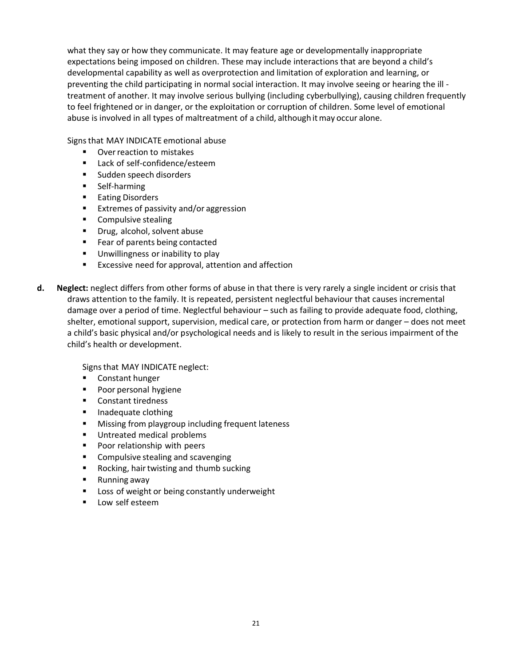what they say or how they communicate. It may feature age or developmentally inappropriate expectations being imposed on children. These may include interactions that are beyond a child's developmental capability as well as overprotection and limitation of exploration and learning, or preventing the child participating in normal social interaction. It may involve seeing or hearing the ill treatment of another. It may involve serious bullying (including cyberbullying), causing children frequently to feel frightened or in danger, or the exploitation or corruption of children. Some level of emotional abuse is involved in all types of maltreatment of a child, although itmay occur alone.

Signsthat MAY INDICATE emotional abuse

- Over reaction to mistakes
- Lack of self-confidence/esteem
- Sudden speech disorders
- Self-harming
- Eating Disorders
- Extremes of passivity and/or aggression
- Compulsive stealing
- Drug, alcohol, solvent abuse
- Fear of parents being contacted
- Unwillingness or inability to play
- Excessive need for approval, attention and affection
- **d. Neglect:** neglect differs from other forms of abuse in that there is very rarely a single incident or crisis that draws attention to the family. It is repeated, persistent neglectful behaviour that causes incremental damage over a period of time. Neglectful behaviour – such as failing to provide adequate food, clothing, shelter, emotional support, supervision, medical care, or protection from harm or danger – does not meet a child's basic physical and/or psychological needs and is likely to result in the serious impairment of the child's health or development.

Signs that MAY INDICATE neglect:

- Constant hunger
- Poor personal hygiene
- Constant tiredness
- Inadequate clothing
- Missing from playgroup including frequent lateness
- Untreated medical problems
- Poor relationship with peers
- Compulsive stealing and scavenging
- Rocking, hair twisting and thumb sucking
- Running away
- Loss of weight or being constantly underweight
- Low self esteem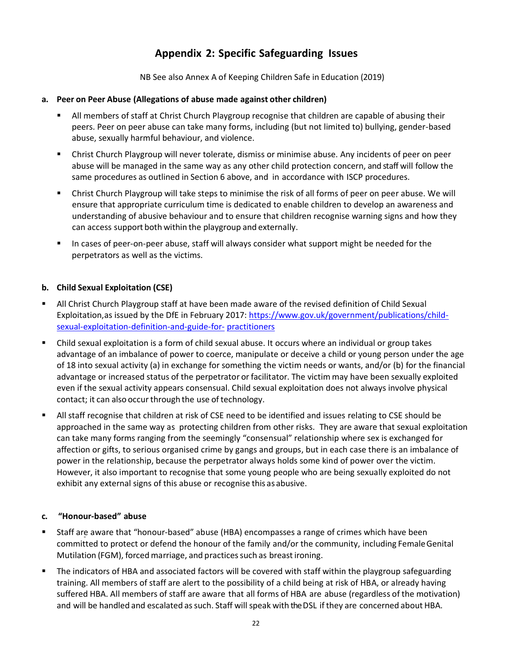# **Appendix 2: Specific Safeguarding Issues**

NB See also Annex A of Keeping Children Safe in Education (2019)

# **a. Peer on Peer Abuse (Allegations of abuse made against other children)**

- All members of staff at Christ Church Playgroup recognise that children are capable of abusing their peers. Peer on peer abuse can take many forms, including (but not limited to) bullying, gender-based abuse, sexually harmful behaviour, and violence.
- Christ Church Playgroup will never tolerate, dismiss or minimise abuse. Any incidents of peer on peer abuse will be managed in the same way as any other child protection concern, and staff will follow the same procedures as outlined in Section 6 above, and in accordance with ISCP procedures.
- Christ Church Playgroup will take steps to minimise the risk of all forms of peer on peer abuse. We will ensure that appropriate curriculum time is dedicated to enable children to develop an awareness and understanding of abusive behaviour and to ensure that children recognise warning signs and how they can access support both within the playgroup and externally.
- In cases of peer-on-peer abuse, staff will always consider what support might be needed for the perpetrators as well as the victims.

# **b. Child Sexual Exploitation (CSE)**

- **E** All Christ Church Playgroup staff at have been made aware of the revised definition of Child Sexual Exploitation,as issued by the DfE in February 2017: [https://www.gov.uk/government/publications/child](https://www.gov.uk/government/publications/child-sexual-exploitation-definition-and-guide-for-practitioners)[sexual-exploitation-definition-and-guide-for-](https://www.gov.uk/government/publications/child-sexual-exploitation-definition-and-guide-for-practitioners) [practitioners](https://www.gov.uk/government/publications/child-sexual-exploitation-definition-and-guide-for-practitioners)
- Child sexual exploitation is a form of child sexual abuse. It occurs where an individual or group takes advantage of an imbalance of power to coerce, manipulate or deceive a child or young person under the age of 18 into sexual activity (a) in exchange for something the victim needs or wants, and/or (b) for the financial advantage or increased status of the perpetrator orfacilitator. The victim may have been sexually exploited even if the sexual activity appears consensual. Child sexual exploitation does not always involve physical contact; it can also occur through the use of technology.
- All staff recognise that children at risk of CSE need to be identified and issues relating to CSE should be approached in the same way as protecting children from other risks. They are aware that sexual exploitation can take many forms ranging from the seemingly "consensual" relationship where sex is exchanged for affection or gifts, to serious organised crime by gangs and groups, but in each case there is an imbalance of power in the relationship, because the perpetrator always holds some kind of power over the victim. However, it also important to recognise that some young people who are being sexually exploited do not exhibit any external signs of this abuse or recognise this as abusive.

# **c. "Honour-based" abuse**

- Staff are aware that "honour-based" abuse (HBA) encompasses a range of crimes which have been committed to protect or defend the honour of the family and/or the community, including FemaleGenital Mutilation (FGM), forced marriage, and practices such as breast ironing.
- The indicators of HBA and associated factors will be covered with staff within the playgroup safeguarding training. All members of staff are alert to the possibility of a child being at risk of HBA, or already having suffered HBA. All members of staff are aware that all forms of HBA are abuse (regardless of the motivation) and will be handled and escalated as such. Staff will speak with the DSL if they are concerned about HBA.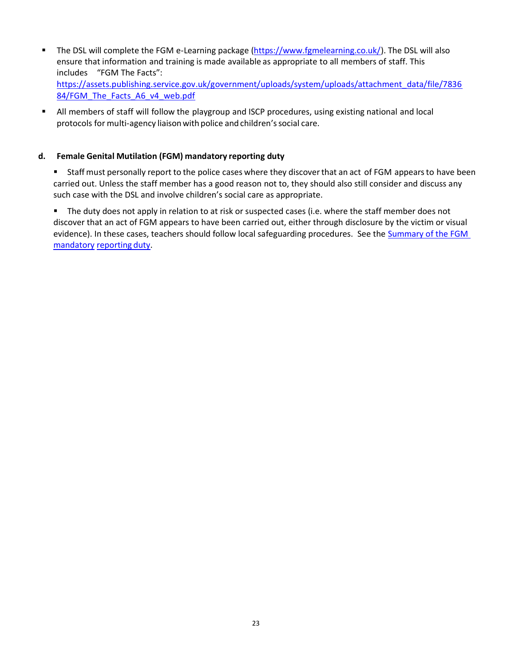- The DSL will complete the FGM e-Learning packag[e \(https://www.fgmelearning.co.uk/\)](https://www.fgmelearning.co.uk/). The DSL will also ensure that information and training is made available as appropriate to all members of staff. This includes "FGM The Facts": [https://assets.publishing.service.gov.uk/government/uploads/system/uploads/attachment\\_data/file/7836](https://assets.publishing.service.gov.uk/government/uploads/system/uploads/attachment_data/file/783684/FGM_The_Facts_A6_v4_web.pdf) [84/FGM\\_The\\_Facts\\_A6\\_v4\\_web.pdf](https://assets.publishing.service.gov.uk/government/uploads/system/uploads/attachment_data/file/783684/FGM_The_Facts_A6_v4_web.pdf)
- All members of staff will follow the playgroup and ISCP procedures, using existing national and local protocols for multi-agency liaison with police and children's social care.

# **d. Female Genital Mutilation (FGM) mandatory reporting duty**

Staff must personally report to the police cases where they discover that an act of FGM appears to have been carried out. Unless the staff member has a good reason not to, they should also still consider and discuss any such case with the DSL and involve children's social care as appropriate.

■ The duty does not apply in relation to at risk or suspected cases (i.e. where the staff member does not discover that an act of FGM appears to have been carried out, either through disclosure by the victim or visual evidence). In these cases, teachers should follow local safeguarding procedures. See the Summary of the FGM [mandatory](https://www.gov.uk/government/uploads/system/uploads/attachment_data/file/496415/6_1639_HO_SP_FGM_mandatory_reporting_Fact_sheet_Web.pdf) [reporting](https://www.gov.uk/government/uploads/system/uploads/attachment_data/file/496415/6_1639_HO_SP_FGM_mandatory_reporting_Fact_sheet_Web.pdf) duty.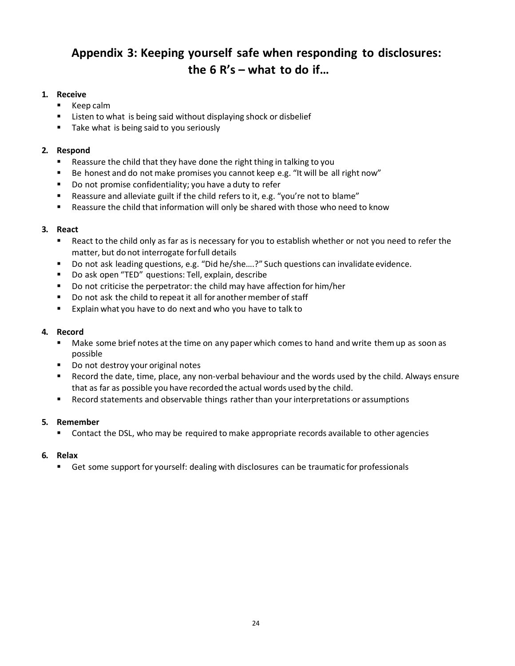# **Appendix 3: Keeping yourself safe when responding to disclosures: the 6 R's – what to do if…**

# **1. Receive**

- Keep calm
- Listen to what is being said without displaying shock or disbelief
- Take what is being said to you seriously

# **2. Respond**

- Reassure the child that they have done the right thing in talking to you
- Be honest and do not make promises you cannot keep e.g. "It will be all right now"
- Do not promise confidentiality; you have a duty to refer
- Reassure and alleviate guilt if the child refers to it, e.g. "you're not to blame"
- Reassure the child that information will only be shared with those who need to know

# **3. React**

- React to the child only as far as is necessary for you to establish whether or not you need to refer the matter, but do not interrogate forfull details
- Do not ask leading questions, e.g. "Did he/she....?" Such questions can invalidate evidence.
- Do ask open "TED" questions: Tell, explain, describe
- Do not criticise the perpetrator: the child may have affection for him/her
- Do not ask the child to repeat it all for another member of staff
- Explain what you have to do next and who you have to talk to

# **4. Record**

- Make some brief notes at the time on any paper which comes to hand and write them up as soon as possible
- Do not destroy your original notes
- Record the date, time, place, any non-verbal behaviour and the words used by the child. Always ensure that as far as possible you have recorded the actual words used by the child.
- Record statements and observable things rather than your interpretations or assumptions

## **5. Remember**

■ Contact the DSL, who may be required to make appropriate records available to other agencies

## **6. Relax**

**EXECT** Get some support for yourself: dealing with disclosures can be traumatic for professionals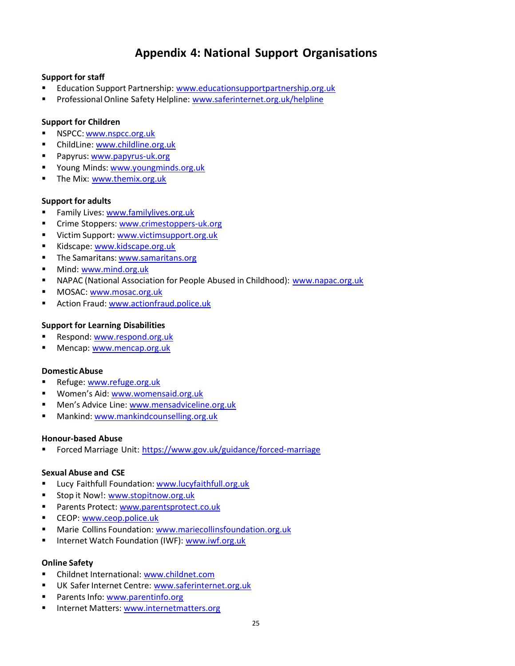# **Appendix 4: National Support Organisations**

# **Support for staff**

- Education Support Partnership: [www.educationsupportpartnership.org.uk](http://www.educationsupportpartnership.org.uk/)
- Professional Online Safety Helpline: [www.saferinternet.org.uk/helpline](http://www.saferinternet.org.uk/helpline)

# **Support for Children**

- NSPCC: [www.nspcc.org.uk](http://www.nspcc.org.uk/)
- ChildLine: [www.childline.org.uk](http://www.childline.org.uk/)
- Papyrus: [www.papyrus-uk.org](http://www.papyrus-uk.org/)
- Young Minds: [www.youngminds.org.uk](http://www.youngminds.org.uk/)
- The Mix: [www.themix.org.uk](http://www.themix.org.uk/)

# **Support for adults**

- Family Lives: [www.familylives.org.uk](http://www.familylives.org.uk/)
- Crime Stoppers: [www.crimestoppers-uk.org](http://www.crimestoppers-uk.org/)
- Victim Support: [www.victimsupport.org.uk](http://www.victimsupport.org.uk/)
- Kidscape: [www.kidscape.org.uk](http://www.kidscape.org.uk/)
- The Samaritans: [www.samaritans.org](http://www.samaritans.org/)
- Mind: [www.mind.org.uk](http://www.mind.org.uk/)
- **EXEC ALCO** (National Association for People Abused in Childhood): [www.napac.org.uk](http://www.napac.org.uk/)
- MOSAC: [www.mosac.org.uk](http://www.mosac.org.uk/)
- **E** Action Fraud: [www.actionfraud.police.uk](http://www.actionfraud.police.uk/)

# **Support for Learning Disabilities**

- Respond: [www.respond.org.uk](http://www.respond.org.uk/)
- Mencap: [www.mencap.org.uk](http://www.mencap.org.uk/)

## **DomesticAbuse**

- **Refuge: [www.refuge.org.uk](http://www.refuge.org.uk/)**
- Women's Aid: [www.womensaid.org.uk](http://www.womensaid.org.uk/)
- Men's Advice Line: [www.mensadviceline.org.uk](http://www.mensadviceline.org.uk/)
- Mankind: [www.mankindcounselling.org.uk](http://www.mankindcounselling.org.uk/)

## **Honour-based Abuse**

■ Forced Marriage Unit: <https://www.gov.uk/guidance/forced-marriage>

## **Sexual Abuse and CSE**

- Lucy Faithfull Foundation: [www.lucyfaithfull.org.uk](http://www.lucyfaithfull.org.uk/)
- Stop it Now!: [www.stopitnow.org.uk](http://www.stopitnow.org.uk/)
- Parents Protect: [www.parentsprotect.co.uk](http://www.parentsprotect.co.uk/)
- CEOP: [www.ceop.police.uk](http://www.ceop.police.uk/)
- Marie Collins Foundation: [www.mariecollinsfoundation.org.uk](http://www.mariecollinsfoundation.org.uk/)
- Internet Watch Foundation (IWF): [www.iwf.org.uk](http://www.iwf.org.uk/)

# **Online Safety**

- Childnet International: [www.childnet.com](http://www.childnet.com/)
- UK Safer Internet Centre: [www.saferinternet.org.uk](http://www.saferinternet.org.uk/)
- Parents Info: [www.parentinfo.org](http://www.parentinfo.org/)
- Internet Matters: [www.internetmatters.org](http://www.internetmatters.org/)